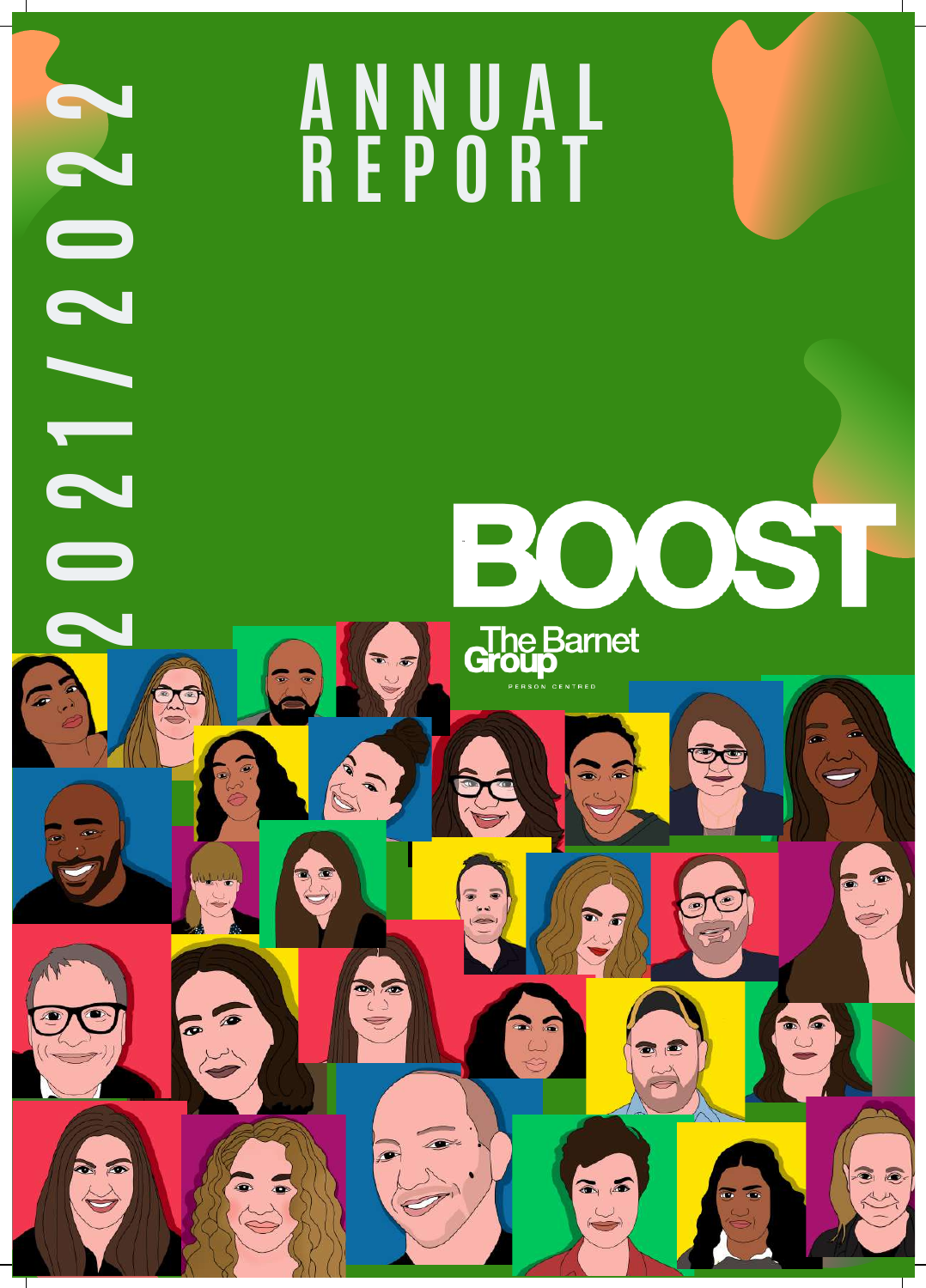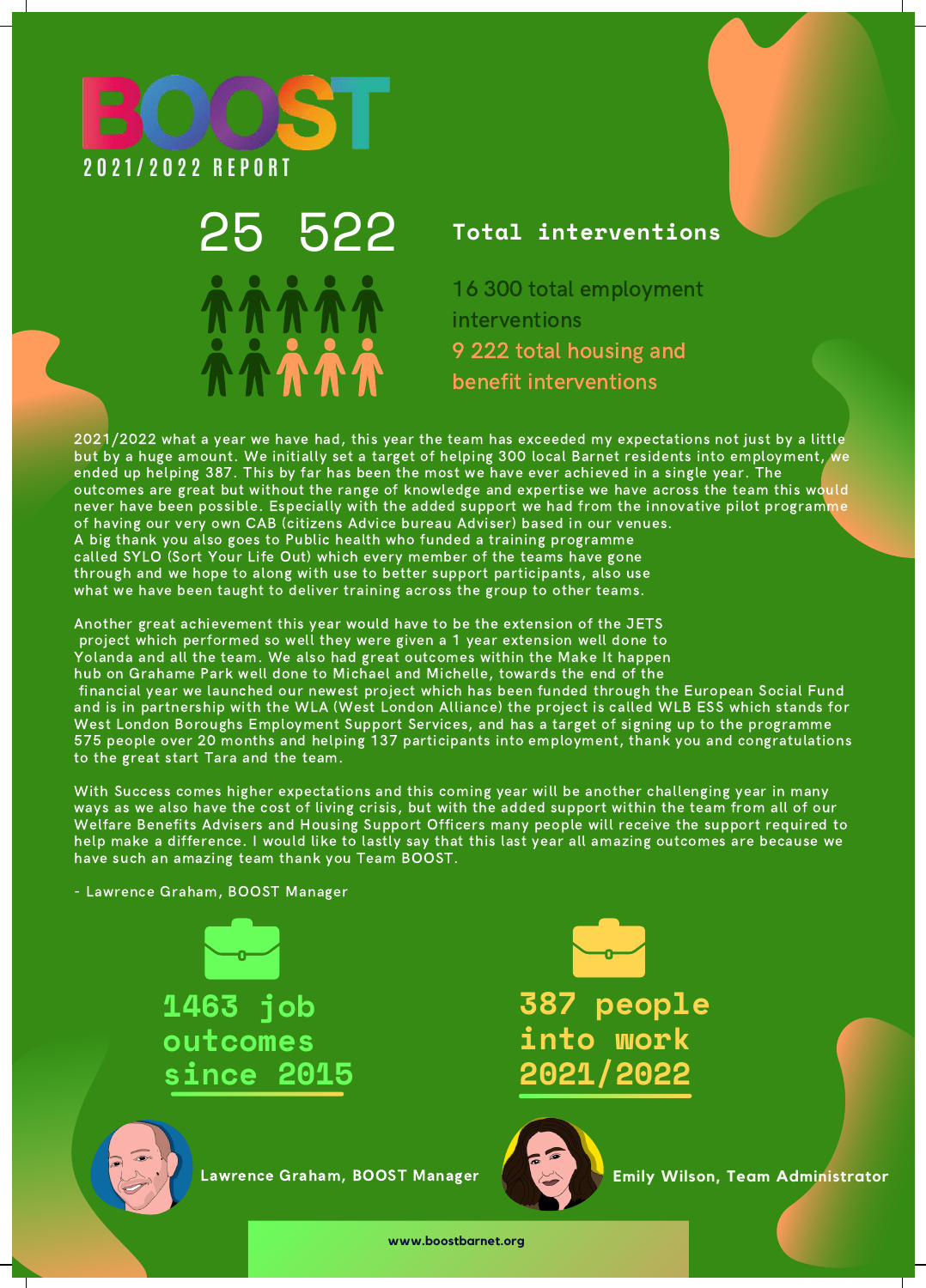

# 25 522 **Total interventions**

16 300 total employment interventions 9 222 total housing and benefit interventions

2021/2022 what a year we have had, this year the team has exceeded my expectations not just by a little but by a huge amount. We initially set a target of helping 300 local Barnet residents into employment, we ended up helping 387. This by far has been the most we have ever achieved in a single year. The outcomes are great but without the range of knowledge and expertise we have across the team this would never have been possible. Especially with the added support we had from the innovative pilot programme of having our very own CAB (citizens Advice bureau Adviser) based in our venues. A big thank you also goes to Public health who funded a training programme called SYLO (Sort Your Life Out) which every member of the teams have gone through and we hope to along with use to better support participants, also use what we have been taught to deliver training across the group to other teams.

Another great achievement this year would have to be the extension of the JETS project which performed so well they were given a 1 year extension well done to Yolanda and all the team. We also had great outcomes within the Make It happen hub on Grahame Park well done to Michael and Michelle, towards the end of the financial year we launched our newest project which has been funded through the European Social Fund and is in partnership with the WLA (West London Alliance) the project is called WLB ESS which stands for West London Boroughs Employment Support Services, and has a target of signing up to the programme 575 people over 20 months and helping 137 participants into employment, thank you and congratulations to the great start Tara and the team.

With Success comes higher expectations and this coming year will be another challenging year in many ways as we also have the cost of living crisis, but with the added support within the team from all of our Welfare Benefits Advisers and Housing Support Officers many people will receive the support required to help make a difference. I would like to lastly say that this last year all amazing outcomes are because we have such an amazing team thank you Team BOOST.

- Lawrence Graham, BOOST Manager

**1463 job outcomes since 2015**





Lawrence Graham, BOOST Manager



**Emily Wilson, Team Administrator**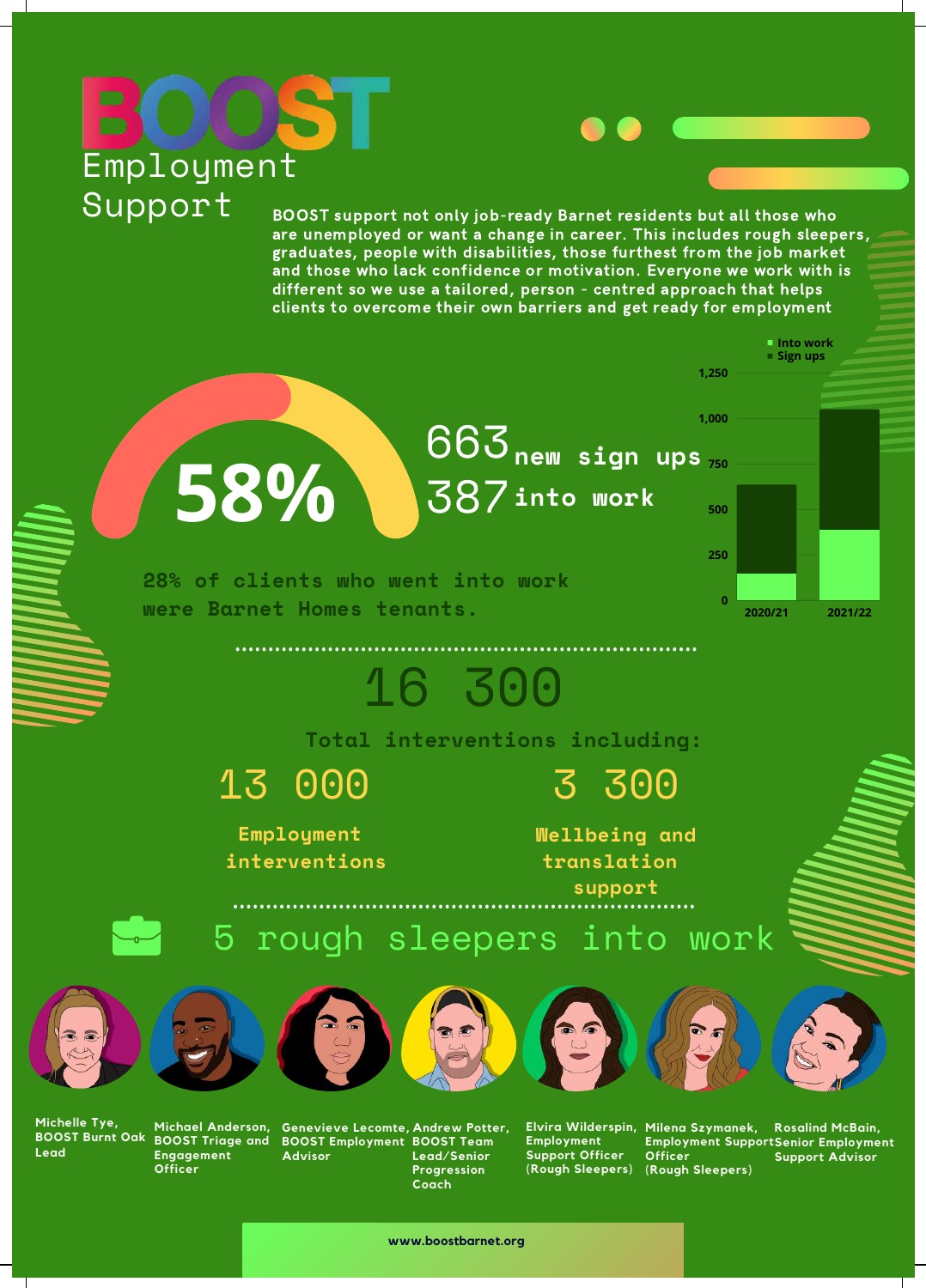# **Employment** Support

BOOST support not only job-ready Barnet residents but all those who are unemployed or want a change in career. This includes rough sleepers, graduates, people with disabilities, those furthest from the job market and those who lack confidence or motivation. Everyone we work with is different so we use a tailored, person - centred approach that helps clients to overcome their own barriers and get ready for employment



**Michelle Tye, Lead**

**Michael Anderson, BOOST Triage and BOOST Burnt Oak Engagement Officer**

**Genevieve Lecomte, BOOST Employment Advisor**

**Andrew Potter, BOOST Team Lead/Senior Progression Coach**

**Employment Support Officer**

**Employment Support Senior Employment Officer (Rough Sleepers) (Rough Sleepers) Support Advisor**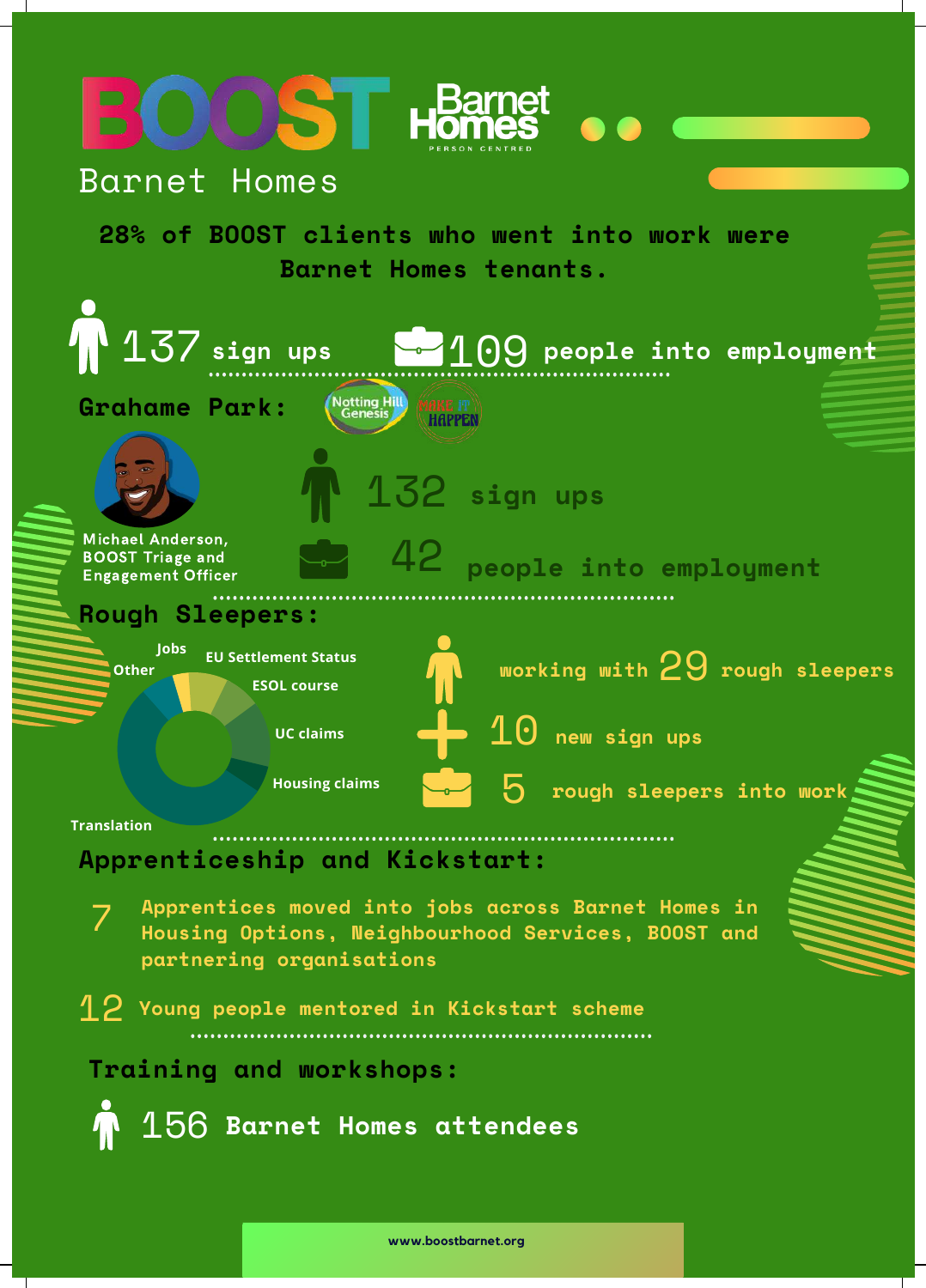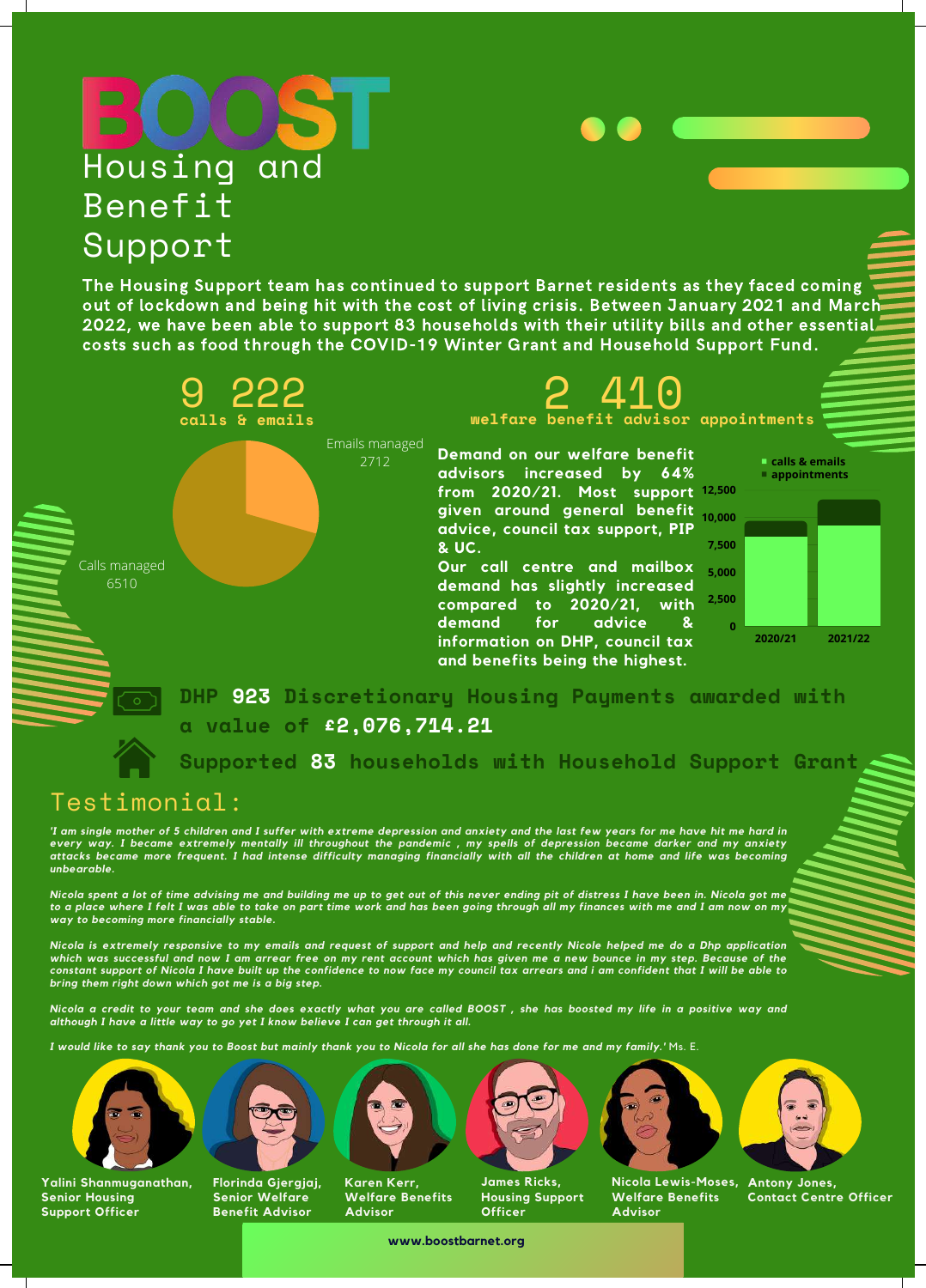### Housing and Benefit Support Calls managed 6510 Emails managed 2712 The Housing Support team has continued to support Barnet residents as they faced coming out of lockdown and being hit with the cost of living crisis. Between January 2021 and March 2022, we have been able to support 83 households with their utility bills and other essential costs such as food through the COVID-19 Winter Grant and Household Support Fund. 9 222 2 410 **calls & emails welfare benefit advisor appointments Demand on our welfare benefit advisors increased by 64% from 2020/21. Most support 12,500 given around general benefit advice, council tax support, PIP & UC. Our call centre and mailbox**

**demand has slightly increased compared to 2020/21, with 2,500 demand for advice & information on DHP, council tax and benefits being the highest.**



**DHP 923 Discretionary Housing Payments awarded with a value of £2,076,714.21**

**Supported 83 households with Household Support Grant**

# Testimonial:

'I am single mother of 5 children and I suffer with extreme depression and anxiety and the last few years for me have hit me hard in every way. I became extremely mentally ill throughout the pandemic , my spells of depression became darker and my anxiety attacks became more frequent. I had intense difficulty managing financially with all the children at home and life was becoming *unbearable.*

Nicola spent a lot of time advising me and building me up to get out of this never ending pit of distress I have been in. Nicola got me to a place where I felt I was able to take on part time work and has been going through all my finances with me and I am now on my *way to becoming more financially stable.*

Nicola is extremely responsive to my emails and request of support and help and recently Nicole helped me do a Dhp application which was successful and now I am arrear free on my rent account which has given me a new bounce in my step. Because of the constant support of Nicola I have built up the confidence to now face my council tax arrears and i am confident that I will be able to *bring them right down which got me is a big step.*

Nicola a credit to your team and she does exactly what you are called BOOST, she has boosted my life in a positive way and *although I have a little way to go yet I know believe I can get through it all.*

I would like to say thank you to Boost but mainly thank you to Nicola for all she has done for me and my family.' Ms. E.



**Yalini Shanmuganathan, Senior Housing Support Officer**



**Florinda Gjergjaj, Senior Welfare Benefit Advisor**



**Advisor**







**Nicola Lewis-Moses, Antony Jones, Welfare Benefits Advisor**



**Contact Centre Officer**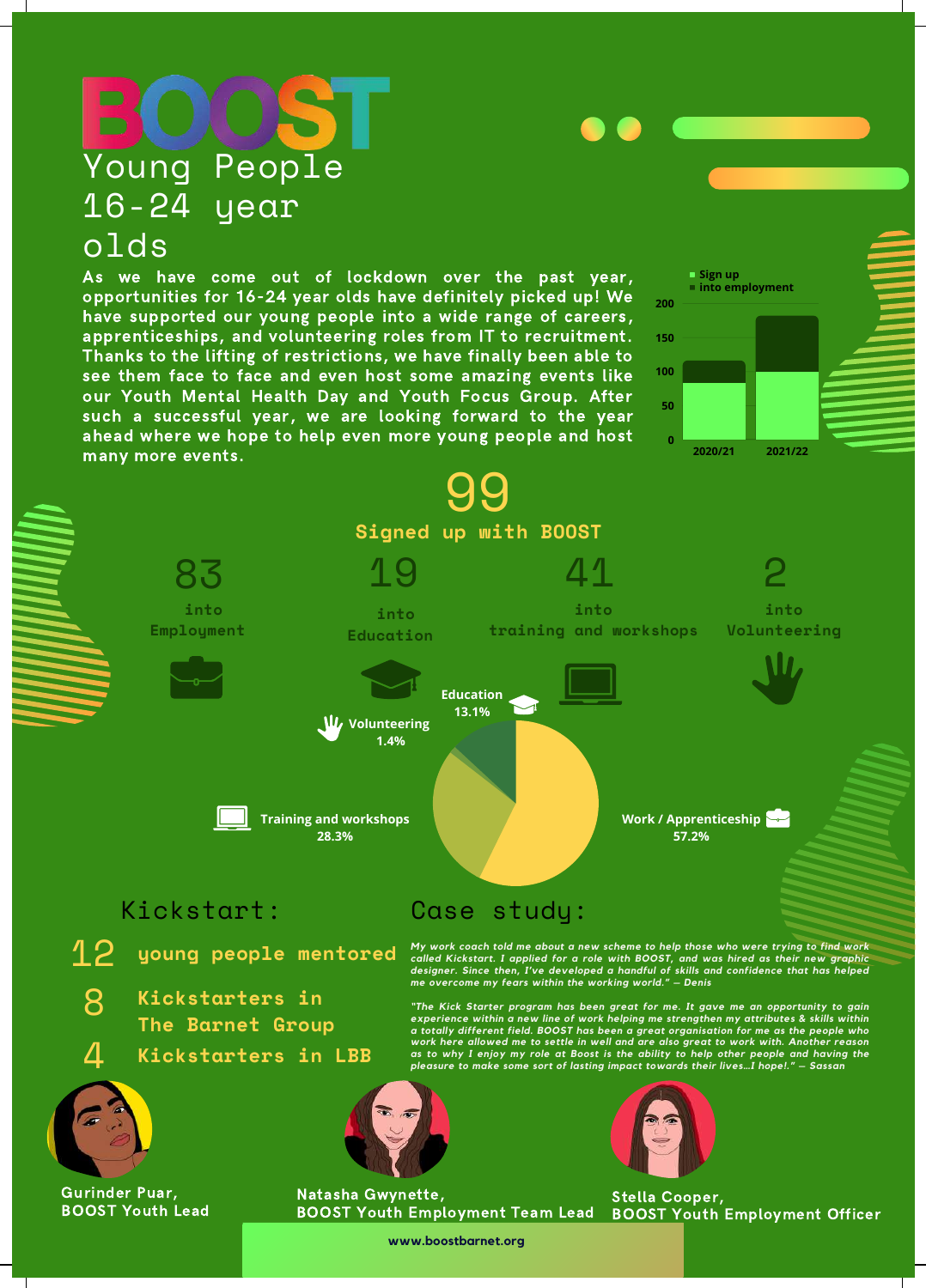# Young People 16-24 year olds

As we have come out of lockdown over the past year, opportunities for 16-24 year olds have definitely picked up! We have supported our young people into a wide range of careers, apprenticeships, and volunteering roles from IT to recruitment. Thanks to the lifting of restrictions, we have finally been able to see them face to face and even host some amazing events like our Youth Mental Health Day and Youth Focus Group. After such a successful year, we are looking forward to the year ahead where we hope to help even more young people and host



**www.boostbarnet.org**

**Sign up**

**200**

**150**

**100**

**50**

**into employment**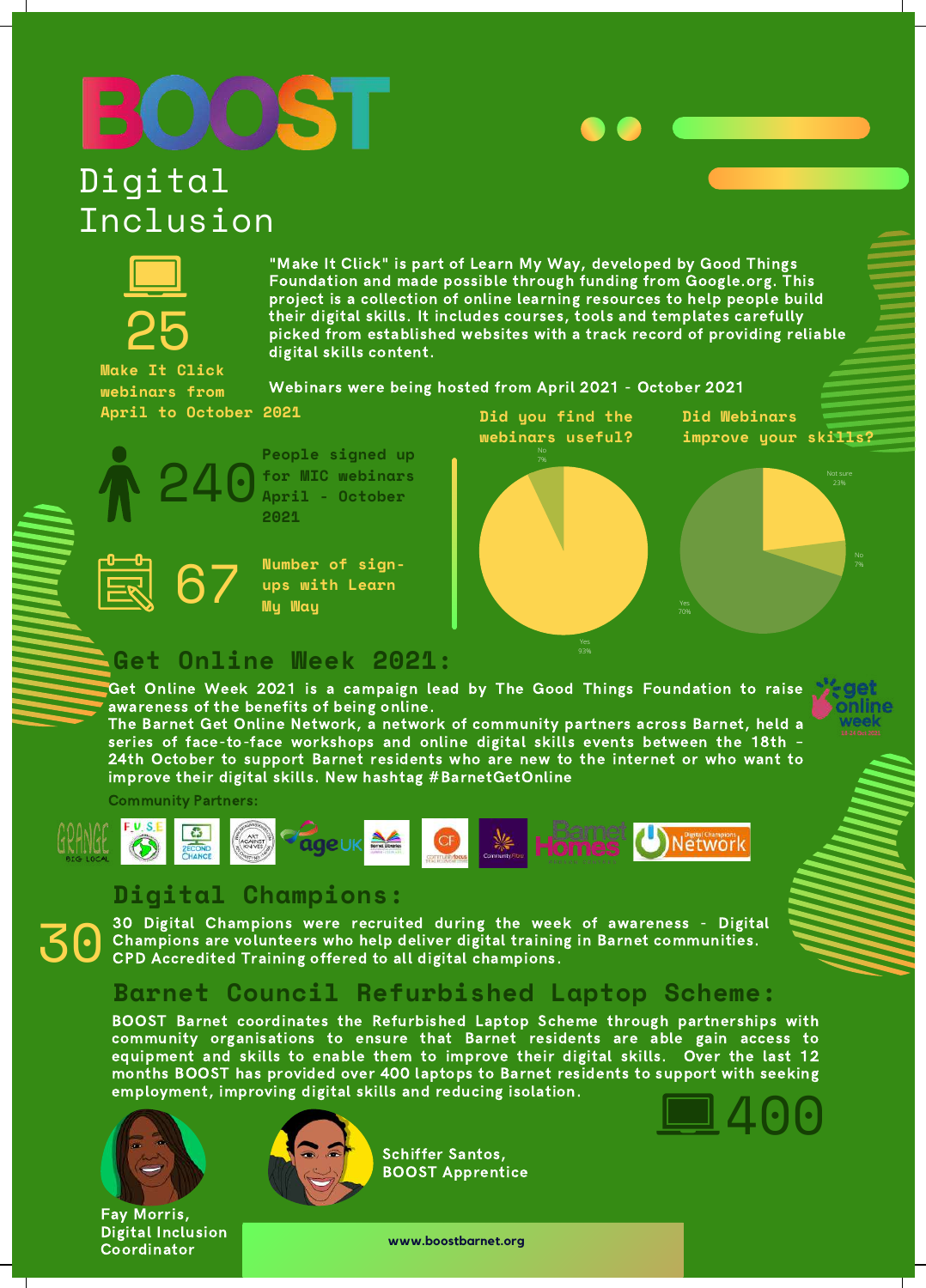# **OS**

# Digital Inclusion



"Make It Click" is part of Learn My Way, developed by Good Things Foundation and made possible through funding from Google.org. This project is a collection of online learning resources to help people build their digital skills. It includes courses, tools and templates carefully picked from established websites with a track record of providing reliable digital skills content.

Webinars were being hosted from April 2021 - October 2021 **Make It Click webinars from April to October 2021**

240



**People signed up for MIC webinars April - October 2021**

**Number of signups with Learn** 67 **My Way**



# **Get Online Week 2021:**

Get Online Week 2021 is a campaign lead by The Good Things Foundation to raise awareness of the benefits of being online.

The Barnet Get Online Network, a network of community partners across Barnet, held a series of face-to-face workshops and online digital skills events between the 18th – 24th October to support Barnet residents who are new to the internet or who want to improve their digital skills. New hashtag #BarnetGetOnline

Community Partners:



### **Digital Champions:**

30 Digital Champions were recruited during the week of awareness - Digital Champions are volunteers who help deliver digital training in Barnet communities.<br>CPD Accredited Training offered to all digital champions.

# **Barnet Council Refurbished Laptop Scheme:**

BOOST Barnet coordinates the Refurbished Laptop Scheme through partnerships with community organisations to ensure that Barnet residents are able gain access to equipment and skills to enable them to improve their digital skills. Over the last 12 months BOOST has provided over 400 laptops to Barnet residents to support with seeking employment, improving digital skills and reducing isolation. 400



Digital Inclusion Coordinator



Schiffer Santos, BOOST Apprentice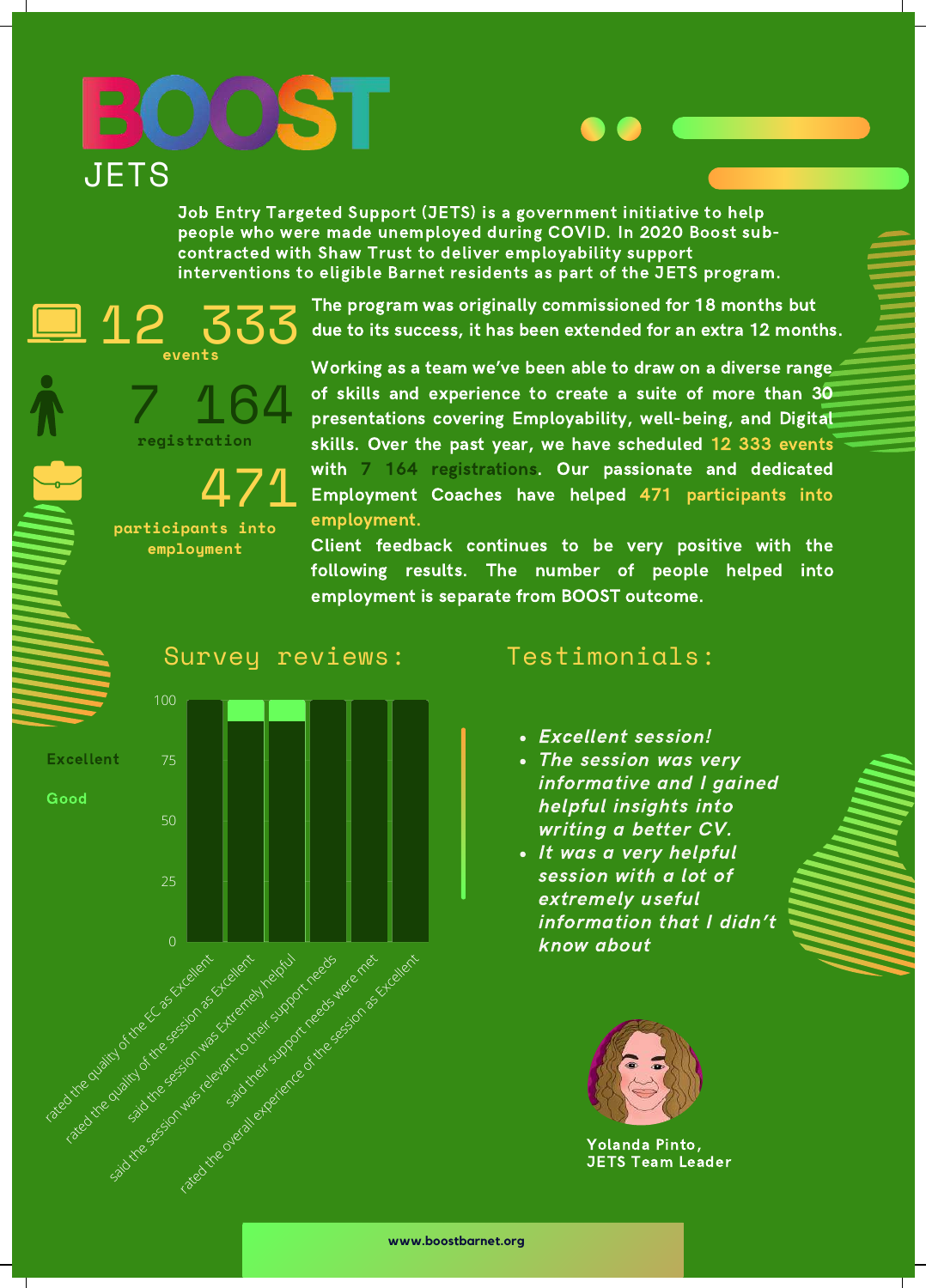# OOST **JETS**

Job Entry Targeted Support (JETS) is a government initiative to help people who were made unemployed during COVID. In 2020 Boost subcontracted with Shaw Trust to deliver employability support interventions to eligible Barnet residents as part of the JETS program.

> The program was originally commissioned for 18 months but due to its success, it has been extended for an extra 12 months.

7 164 **registration**

**events**

<u>La 12</u>

471 **participants into employment**

Working as a team we've been able to draw on a diverse range of skills and experience to create a suite of more than 30 presentations covering Employability, well-being, and Digital skills. Over the past year, we have scheduled 12 333 events with 7 164 registrations. Our passionate and dedicated Employment Coaches have helped 471 participants into employment.

Client feedback continues to be very positive with the following results. The number of people helped into employment is separate from BOOST outcome.

### Survey reviews: Testimonials:



- Excellent session!
- The session was very informative and I gained helpful insights into writing a better CV.
- It was a very helpful session with a lot of extremely useful information that I didn't know about



Yolanda Pinto, JETS Team Leader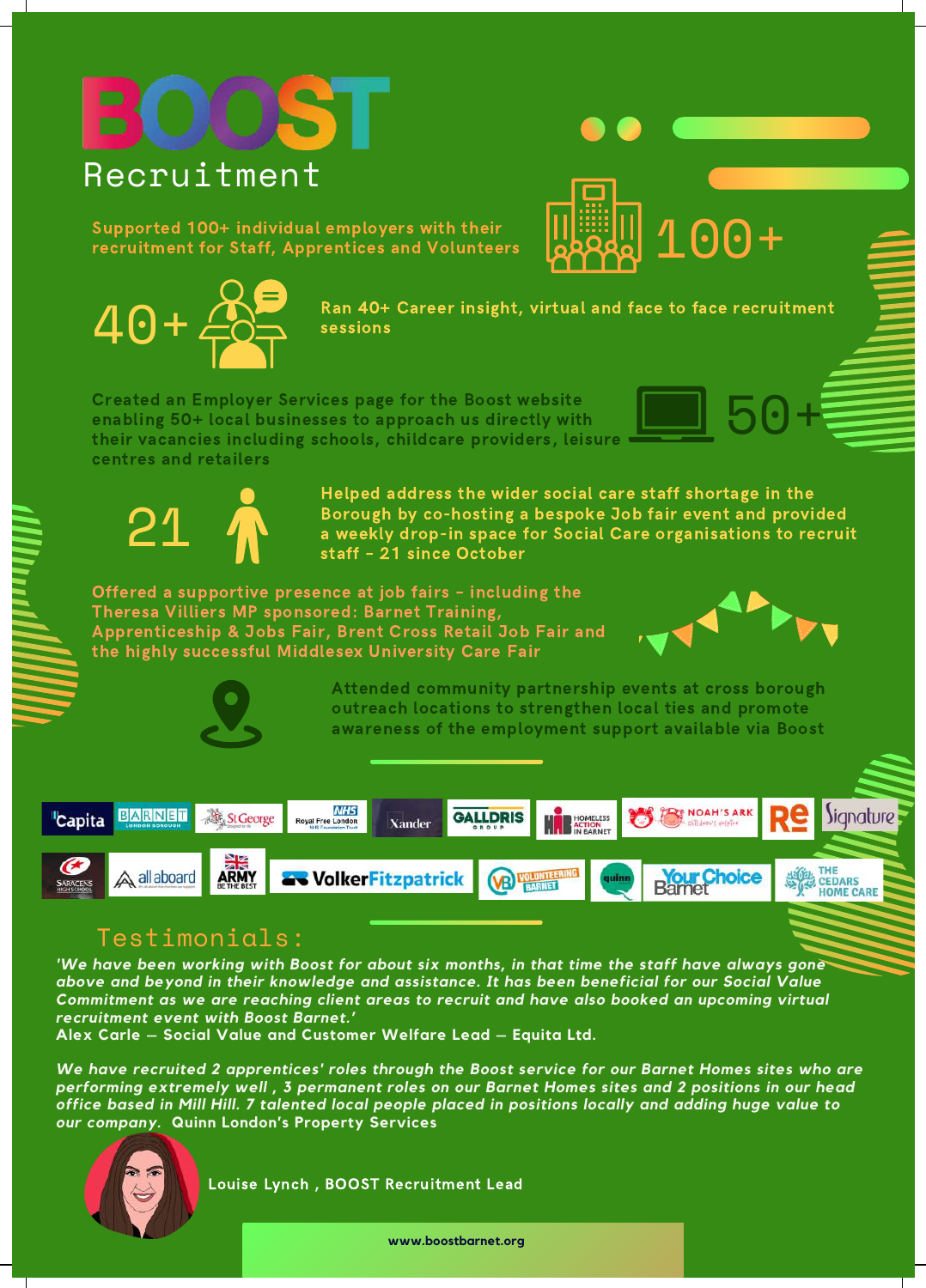# **Recruitment**

Supported 100+ individual employers with their recruitment for Staff, Apprentices and Volunteers



Ran 40+ Career insight, virtual and face to face recruitment sessions

Created an Employer Services page for the Boost website enabling 50+ local businesses to approach us directly with their vacancies including schools, childcare providers, leisure centres and retailers



Helped address the wider social care staff shortage in the Borough by co-hosting a bespoke Job fair event and provided a weekly drop-in space for Social Care organisations to recruit staff – 21 since October

Offered a supportive presence at job fairs – including the Theresa Villiers MP sponsored: Barnet Training, Apprenticeship & Jobs Fair, Brent Cross Retail Job Fair and the highly successful Middlesex University Care Fair



 $0 +$ 

50+



Attended community partnership events at cross borough outreach locations to strengthen local ties and promote awareness of the employment support available via Boost



# Testimonials:

*'We have been working with Boost for about six months, in that time the staff have always gone above and beyond in their knowledge and assistance. It has been beneficial for our Social Value Commitment as we are reaching client areas to recruit and have also booked an upcoming virtual recruitment event with Boost Barnet.'*

**Alex Carle – Social Value and Customer Welfare Lead – Equita Ltd.**

*We have recruited 2 apprentices' roles through the Boost service for our Barnet Homes sites who are* performing extremely well, 3 permanent roles on our Barnet Homes sites and 2 positions in our head office based in Mill Hill. 7 talented local people placed in positions locally and adding huge value to *our company.* **Quinn London's Property Services**



Louise Lynch , BOOST Recruitment Lead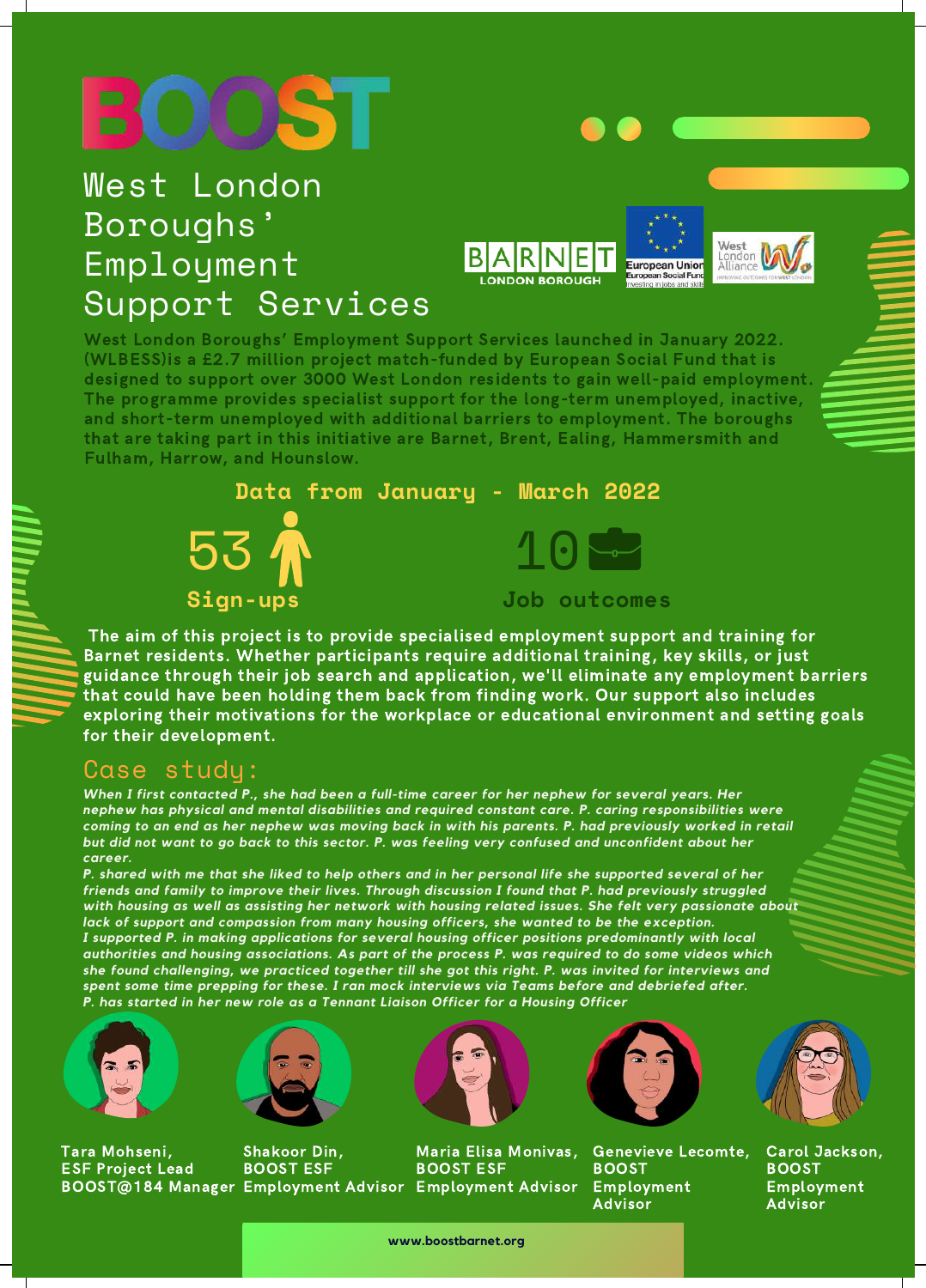# West London Boroughs' Employment Support Services





West London Boroughs' Employment Support Services launched in January 2022. (WLBESS)is a £2.7 million project match-funded by European Social Fund that is designed to support over 3000 West London residents to gain well-paid employment. The programme provides specialist support for the long-term unemployed, inactive, and short-term unemployed with additional barriers to employment. The boroughs that are taking part in this initiative are Barnet, Brent, Ealing, Hammersmith and Fulham, Harrow, and Hounslow.



The aim of this project is to provide specialised employment support and training for Barnet residents. Whether participants require additional training, key skills, or just guidance through their job search and application, we'll eliminate any employment barriers that could have been holding them back from finding work. Our support also includes exploring their motivations for the workplace or educational environment and setting goals for their development.

### Case study:

*When I first contacted P., she had been a full-time career for her nephew for several years. Her nephew has physical and mental disabilities and required constant care. P. caring responsibilities were* coming to an end as her nephew was moving back in with his parents. P. had previously worked in retail but did not want to go back to this sector. P. was feeling very confused and unconfident about her *career.*

P. shared with me that she liked to help others and in her personal life she supported several of her *friends and family to improve their lives. Through discussion I found that P. had previously struggled with housing as well as assisting her network with housing related issues. She felt very passionate about lack of support and compassion from many housing officers, she wanted to be the exception. I supported P. in making applications for several housing officer positions predominantly with local authorities and housing associations. As part of the process P. was required to do some videos which she found challenging, we practiced together till she got this right. P. was invited for interviews and spent some time prepping for these. I ran mock interviews via Teams before and debriefed after. P. has started in her new role as a Tennant Liaison Officer for a Housing Officer*



Tara Mohseni, ESF Project Lead BOOST@184 Manager Employment Advisor Employment Advisor



Shakoor Din, BOOST ESF



Maria Elisa Monivas, BOOST ESF



Genevieve Lecomte, BOOST Employment Advisor



Carol Jackson, **BOOST** Employment Advisor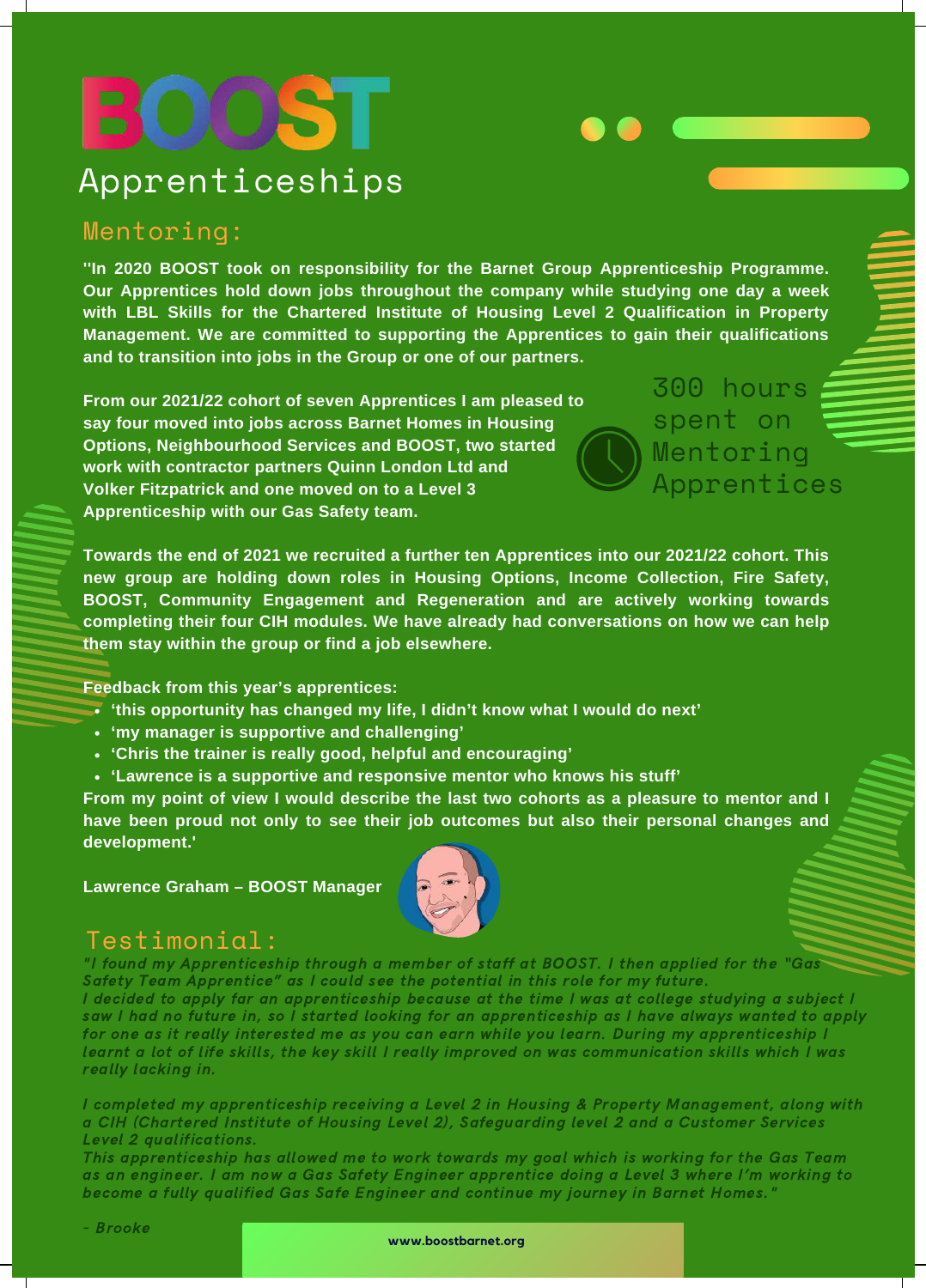# **OS** Apprenticeships

### Mentoring:

**''In 2020 BOOST took on responsibility for the Barnet Group Apprenticeship Programme. Our Apprentices hold down jobs throughout the company while studying one day a week with LBL Skills for the Chartered Institute of Housing Level 2 Qualification in Property Management. We are committed to supporting the Apprentices to gain their qualifications and to transition into jobs in the Group or one of our partners.**

**From our 2021/22 cohort of seven Apprentices I am pleased to say four moved into jobs across Barnet Homes in Housing Options, Neighbourhood Services and BOOST, two started work with contractor partners Quinn London Ltd and Volker Fitzpatrick and one moved on to a Level 3 Apprenticeship with our Gas Safety team.**

300 hours spent on Mentoring Apprentices

**Towards the end of 2021 we recruited a further ten Apprentices into our 2021/22 cohort. This new group are holding down roles in Housing Options, Income Collection, Fire Safety, BOOST, Community Engagement and Regeneration and are actively working towards completing their four CIH modules. We have already had conversations on how we can help them stay within the group or find a job elsewhere.**

**Feedback from this year's apprentices:**

- **'this opportunity has changed my life, I didn't know what I would do next'**
- **'my manager is supportive and challenging'**
- **'Chris the trainer is really good, helpful and encouraging'**
- **'Lawrence is a supportive and responsive mentor who knows his stuff'**

**From my point of view I would describe the last two cohorts as a pleasure to mentor and I have been proud not only to see their job outcomes but also their personal changes and development.'**

**Lawrence Graham – BOOST Manager**



### Testimonial:

"I found my Apprenticeship through a member of staff at BOOST. I then applied for the "Gas Safety Team Apprentice" as I could see the potential in this role for my future. I decided to apply far an apprenticeship because at the time I was at college studying a subject I saw I had no future in, so I started looking for an apprenticeship as I have always wanted to apply for one as it really interested me as you can earn while you learn. During my apprenticeship I learnt a lot of life skills, the key skill I really improved on was communication skills which I was really lacking in.

I completed my apprenticeship receiving a Level 2 in Housing & Property Management, along with a CIH (Chartered Institute of Housing Level 2), Safeguarding level 2 and a Customer Services Level 2 qualifications.

This apprenticeship has allowed me to work towards my goal which is working for the Gas Team as an engineer. I am now a Gas Safety Engineer apprentice doing a Level 3 where I'm working to become a fully qualified Gas Safe Engineer and continue my journey in Barnet Homes."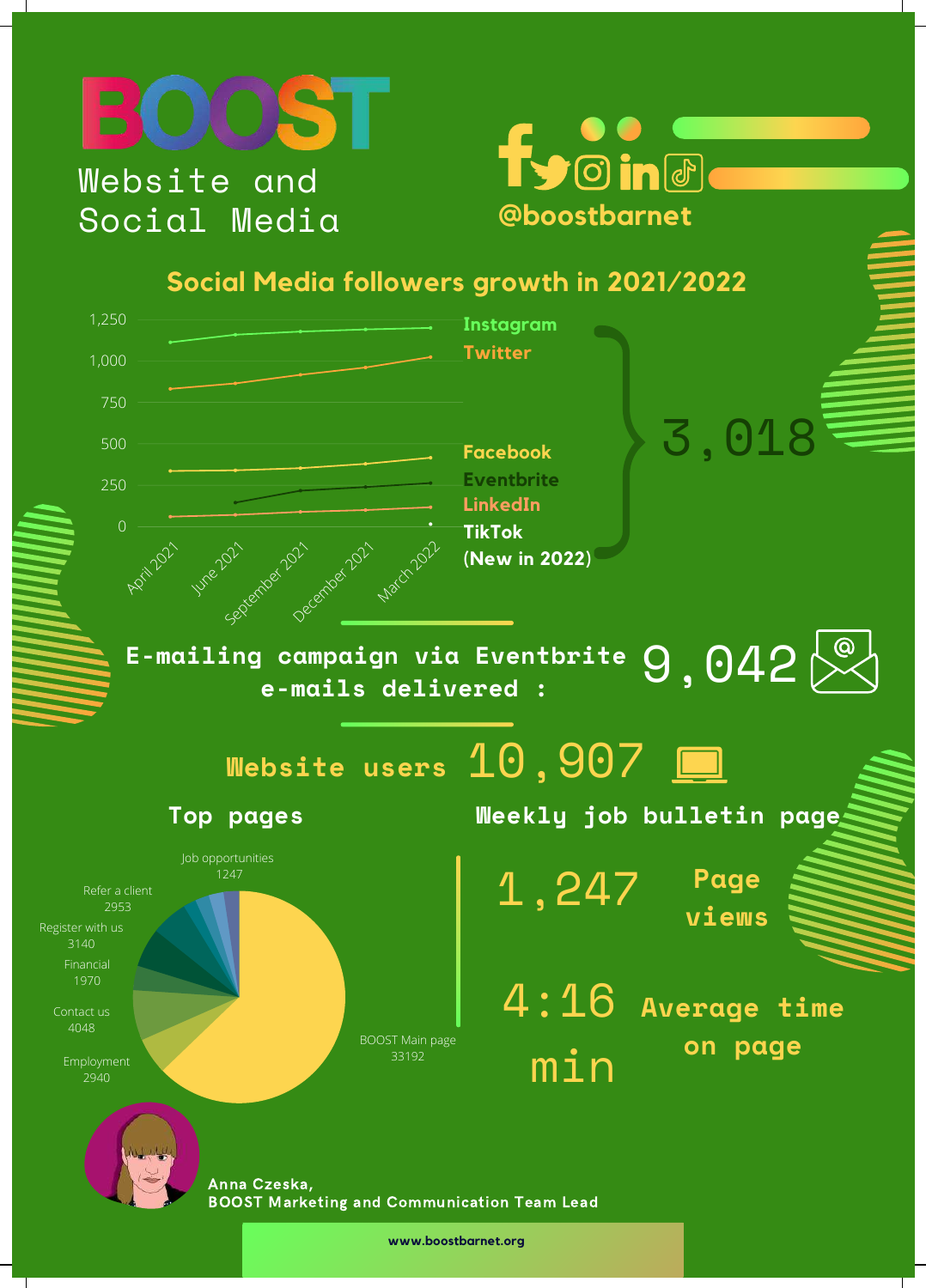



# **Social Media followers growth in 2021/2022**